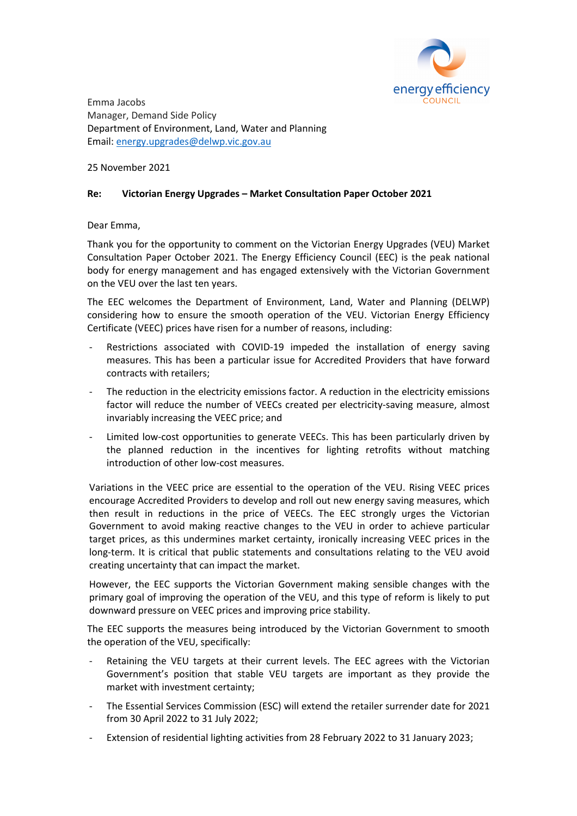

Emma Jacobs Manager, Demand Side Policy Department of Environment, Land, Water and Planning Email: energy.upgrades@delwp.vic.gov.au

25 November 2021

## **Re: Victorian Energy Upgrades – Market Consultation Paper October 2021**

## Dear Emma,

Thank you for the opportunity to comment on the Victorian Energy Upgrades (VEU) Market Consultation Paper October 2021. The Energy Efficiency Council (EEC) is the peak national body for energy management and has engaged extensively with the Victorian Government on the VEU over the last ten years.

The EEC welcomes the Department of Environment, Land, Water and Planning (DELWP) considering how to ensure the smooth operation of the VEU. Victorian Energy Efficiency Certificate (VEEC) prices have risen for a number of reasons, including:

- Restrictions associated with COVID-19 impeded the installation of energy saving measures. This has been a particular issue for Accredited Providers that have forward contracts with retailers;
- The reduction in the electricity emissions factor. A reduction in the electricity emissions factor will reduce the number of VEECs created per electricity-saving measure, almost invariably increasing the VEEC price; and
- Limited low-cost opportunities to generate VEECs. This has been particularly driven by the planned reduction in the incentives for lighting retrofits without matching introduction of other low-cost measures.

Variations in the VEEC price are essential to the operation of the VEU. Rising VEEC prices encourage Accredited Providers to develop and roll out new energy saving measures, which then result in reductions in the price of VEECs. The EEC strongly urges the Victorian Government to avoid making reactive changes to the VEU in order to achieve particular target prices, as this undermines market certainty, ironically increasing VEEC prices in the long-term. It is critical that public statements and consultations relating to the VEU avoid creating uncertainty that can impact the market.

However, the EEC supports the Victorian Government making sensible changes with the primary goal of improving the operation of the VEU, and this type of reform is likely to put downward pressure on VEEC prices and improving price stability.

The EEC supports the measures being introduced by the Victorian Government to smooth the operation of the VEU, specifically:

- Retaining the VEU targets at their current levels. The EEC agrees with the Victorian Government's position that stable VEU targets are important as they provide the market with investment certainty;
- The Essential Services Commission (ESC) will extend the retailer surrender date for 2021 from 30 April 2022 to 31 July 2022;
- Extension of residential lighting activities from 28 February 2022 to 31 January 2023;